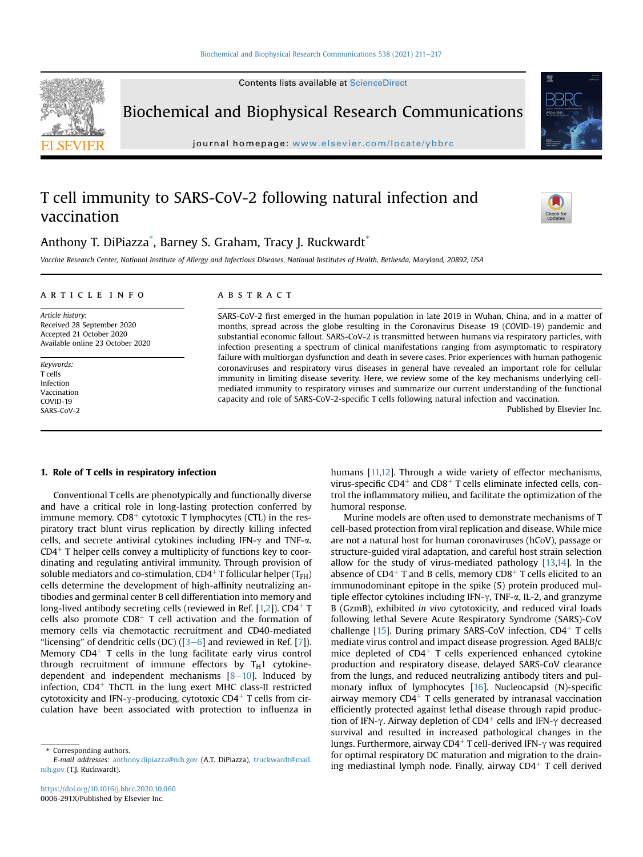Biochemical and Biophysical Research Communications

journal homepage: <www.elsevier.com/locate/ybbrc>

# T cell immunity to SARS-CoV-2 following natural infection and vaccination

Anthony T. DiPiazza $^\ast$ , Barney S. Graham, Tracy J. Ruckwardt $^\ast$ 

Vaccine Research Center, National Institute of Allergy and Infectious Diseases, National Institutes of Health, Bethesda, Maryland, 20892, USA

#### article info

Article history: Received 28 September 2020 Accepted 21 October 2020 Available online 23 October 2020

Keywords: T cells Infection Vaccination COVID-19 SARS-CoV-2

## **ABSTRACT**

SARS-CoV-2 first emerged in the human population in late 2019 in Wuhan, China, and in a matter of months, spread across the globe resulting in the Coronavirus Disease 19 (COVID-19) pandemic and substantial economic fallout. SARS-CoV-2 is transmitted between humans via respiratory particles, with infection presenting a spectrum of clinical manifestations ranging from asymptomatic to respiratory failure with multiorgan dysfunction and death in severe cases. Prior experiences with human pathogenic coronaviruses and respiratory virus diseases in general have revealed an important role for cellular immunity in limiting disease severity. Here, we review some of the key mechanisms underlying cellmediated immunity to respiratory viruses and summarize our current understanding of the functional capacity and role of SARS-CoV-2-specific T cells following natural infection and vaccination.

Published by Elsevier Inc.

#### 1. Role of T cells in respiratory infection

Conventional T cells are phenotypically and functionally diverse and have a critical role in long-lasting protection conferred by immune memory.  $CD8<sup>+</sup>$  cytotoxic T lymphocytes (CTL) in the respiratory tract blunt virus replication by directly killing infected cells, and secrete antiviral cytokines including IFN- $\gamma$  and TNF- $\alpha$ .  $CD4<sup>+</sup>$  T helper cells convey a multiplicity of functions key to coordinating and regulating antiviral immunity. Through provision of soluble mediators and co-stimulation,  $CD4^+$  T follicular helper (T<sub>FH</sub>) cells determine the development of high-affinity neutralizing antibodies and germinal center B cell differentiation into memory and long-lived antibody secreting cells (reviewed in Ref.  $[1,2]$  $[1,2]$ ). CD4<sup>+</sup> T cells also promote  $CD8<sup>+</sup>$  T cell activation and the formation of memory cells via chemotactic recruitment and CD40-mediated "licensing" of dendritic cells (DC) ( $[3-6]$  $[3-6]$  $[3-6]$  $[3-6]$  $[3-6]$  and reviewed in Ref. [\[7\]](#page-4-0)). Memory  $CD4^+$  T cells in the lung facilitate early virus control through recruitment of immune effectors by  $T_H1$  cytokinedependent and independent mechanisms  $[8-10]$  $[8-10]$  $[8-10]$  $[8-10]$ . Induced by infection,  $CD4<sup>+</sup>$  ThCTL in the lung exert MHC class-II restricted cytotoxicity and IFN- $\gamma$ -producing, cytotoxic CD4<sup>+</sup> T cells from circulation have been associated with protection to influenza in

<span id="page-0-0"></span>\* Corresponding authors.

humans [\[11,](#page-4-2)[12\]](#page-4-3). Through a wide variety of effector mechanisms, virus-specific  $CD4^+$  and  $CD8^+$  T cells eliminate infected cells, control the inflammatory milieu, and facilitate the optimization of the humoral response.

Murine models are often used to demonstrate mechanisms of T cell-based protection from viral replication and disease. While mice are not a natural host for human coronaviruses (hCoV), passage or structure-guided viral adaptation, and careful host strain selection allow for the study of virus-mediated pathology [[13](#page-4-4)[,14\]](#page-4-5). In the absence of CD4<sup>+</sup> T and B cells, memory CD8<sup>+</sup> T cells elicited to an immunodominant epitope in the spike (S) protein produced multiple effector cytokines including IFN- $\gamma$ , TNF- $\alpha$ , IL-2, and granzyme B (GzmB), exhibited in vivo cytotoxicity, and reduced viral loads following lethal Severe Acute Respiratory Syndrome (SARS)-CoV challenge  $[15]$  $[15]$ . During primary SARS-CoV infection, CD4<sup>+</sup> T cells mediate virus control and impact disease progression. Aged BALB/c mice depleted of  $CD4<sup>+</sup>$  T cells experienced enhanced cytokine production and respiratory disease, delayed SARS-CoV clearance from the lungs, and reduced neutralizing antibody titers and pulmonary influx of lymphocytes [[16\]](#page-4-7). Nucleocapsid (N)-specific airway memory  $CD4^+$  T cells generated by intranasal vaccination efficiently protected against lethal disease through rapid production of IFN- $\gamma$ . Airway depletion of CD4<sup>+</sup> cells and IFN- $\gamma$  decreased survival and resulted in increased pathological changes in the lungs. Furthermore, airway CD4<sup>+</sup> T cell-derived IFN- $\gamma$  was required for optimal respiratory DC maturation and migration to the draining mediastinal lymph node. Finally, airway  $CD4^+$  T cell derived







E-mail addresses: [anthony.dipiazza@nih.gov](mailto:anthony.dipiazza@nih.gov) (A.T. DiPiazza), [truckwardt@mail.](mailto:truckwardt@mail.nih.gov) [nih.gov](mailto:truckwardt@mail.nih.gov) (T.J. Ruckwardt).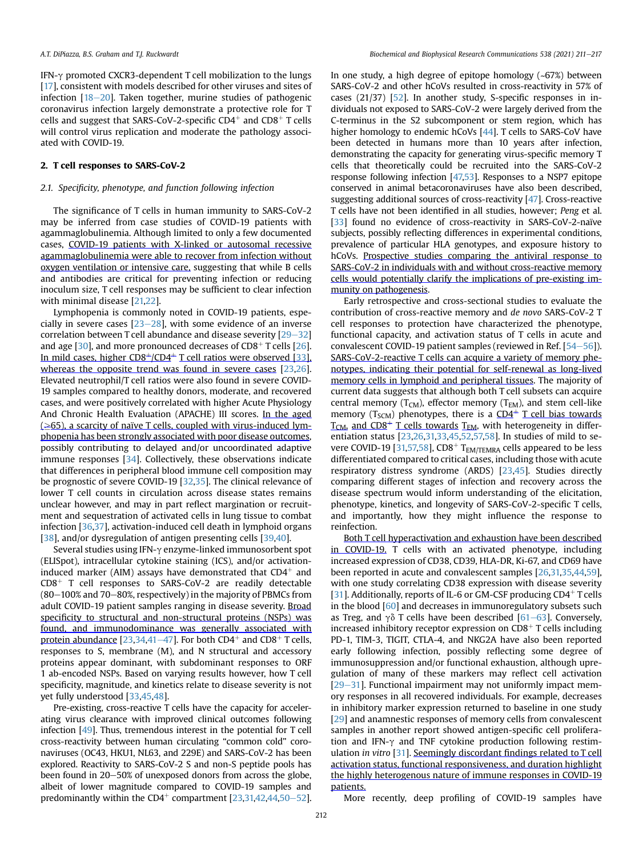IFN- $\gamma$  promoted CXCR3-dependent T cell mobilization to the lungs [[17](#page-4-8)], consistent with models described for other viruses and sites of infection  $[18-20]$  $[18-20]$  $[18-20]$  $[18-20]$  $[18-20]$ . Taken together, murine studies of pathogenic coronavirus infection largely demonstrate a protective role for T cells and suggest that SARS-CoV-2-specific  $CD4^+$  and  $CD8^+$  T cells will control virus replication and moderate the pathology associated with COVID-19.

#### 2. T cell responses to SARS-CoV-2

#### 2.1. Specificity, phenotype, and function following infection

The significance of T cells in human immunity to SARS-CoV-2 may be inferred from case studies of COVID-19 patients with agammaglobulinemia. Although limited to only a few documented cases, COVID-19 patients with X-linked or autosomal recessive agammaglobulinemia were able to recover from infection without oxygen ventilation or intensive care, suggesting that while B cells and antibodies are critical for preventing infection or reducing inoculum size, T cell responses may be sufficient to clear infection with minimal disease [[21,](#page-4-10)[22](#page-4-11)].

Lymphopenia is commonly noted in COVID-19 patients, especially in severe cases  $[23-28]$  $[23-28]$  $[23-28]$  $[23-28]$ , with some evidence of an inverse correlation between T cell abundance and disease severity  $[29-32]$  $[29-32]$  $[29-32]$  $[29-32]$ and age  $[30]$ , and more pronounced decreases of CD8<sup>+</sup> T cells  $[26]$ . In mild cases, higher  $CD8<sup>+</sup>/CD4<sup>+</sup>$  T cell ratios were observed [\[33\]](#page-4-16), whereas the opposite trend was found in severe cases [[23](#page-4-12)[,26\]](#page-4-15). Elevated neutrophil/T cell ratios were also found in severe COVID-19 samples compared to healthy donors, moderate, and recovered cases, and were positively correlated with higher Acute Physiology And Chronic Health Evaluation (APACHE) III scores. In the aged  $(\geq 65)$ , a scarcity of naïve T cells, coupled with virus-induced lymphopenia has been strongly associated with poor disease outcomes, possibly contributing to delayed and/or uncoordinated adaptive immune responses [[34](#page-4-17)]. Collectively, these observations indicate that differences in peripheral blood immune cell composition may be prognostic of severe COVID-19 [[32](#page-4-18),[35](#page-4-19)]. The clinical relevance of lower T cell counts in circulation across disease states remains unclear however, and may in part reflect margination or recruitment and sequestration of activated cells in lung tissue to combat infection [\[36,](#page-4-20)[37\]](#page-4-21), activation-induced cell death in lymphoid organs [[38](#page-4-22)], and/or dysregulation of antigen presenting cells [\[39,](#page-5-0)[40](#page-5-1)].

Several studies using IFN- $\gamma$  enzyme-linked immunosorbent spot (ELISpot), intracellular cytokine staining (ICS), and/or activationinduced marker (AIM) assays have demonstrated that  $CD4^+$  and  $CD8<sup>+</sup>$  T cell responses to SARS-CoV-2 are readily detectable  $(80-100\%$  and 70-80%, respectively) in the majority of PBMCs from adult COVID-19 patient samples ranging in disease severity. Broad specificity to structural and non-structural proteins (NSPs) was found, and immunodominance was generally associated with protein abundance [[23](#page-4-12)[,34,](#page-4-17)[41](#page-5-2)-[47\]](#page-5-2). For both CD4<sup>+</sup> and CD8<sup>+</sup> T cells, responses to S, membrane (M), and N structural and accessory proteins appear dominant, with subdominant responses to ORF 1 ab-encoded NSPs. Based on varying results however, how T cell specificity, magnitude, and kinetics relate to disease severity is not yet fully understood [[33](#page-4-16)[,45,](#page-5-3)[48\]](#page-5-4).

Pre-existing, cross-reactive T cells have the capacity for accelerating virus clearance with improved clinical outcomes following infection [\[49](#page-5-5)]. Thus, tremendous interest in the potential for T cell cross-reactivity between human circulating "common cold" coronaviruses (OC43, HKU1, NL63, and 229E) and SARS-CoV-2 has been explored. Reactivity to SARS-CoV-2 S and non-S peptide pools has been found in 20-50% of unexposed donors from across the globe, albeit of lower magnitude compared to COVID-19 samples and predominantly within the CD4<sup>+</sup> compartment  $[23,31,42,44,50-52]$  $[23,31,42,44,50-52]$  $[23,31,42,44,50-52]$  $[23,31,42,44,50-52]$  $[23,31,42,44,50-52]$  $[23,31,42,44,50-52]$  $[23,31,42,44,50-52]$ . In one study, a high degree of epitope homology (~67%) between SARS-CoV-2 and other hCoVs resulted in cross-reactivity in 57% of cases (21/37) [\[52\]](#page-5-9). In another study, S-specific responses in individuals not exposed to SARS-CoV-2 were largely derived from the C-terminus in the S2 subcomponent or stem region, which has higher homology to endemic hCoVs [\[44\]](#page-5-7). T cells to SARS-CoV have been detected in humans more than 10 years after infection, demonstrating the capacity for generating virus-specific memory T cells that theoretically could be recruited into the SARS-CoV-2 response following infection [\[47,](#page-5-10)[53](#page-5-11)]. Responses to a NSP7 epitope conserved in animal betacoronaviruses have also been described, suggesting additional sources of cross-reactivity [[47\]](#page-5-10). Cross-reactive T cells have not been identified in all studies, however; Peng et al. [\[33\]](#page-4-16) found no evidence of cross-reactivity in SARS-CoV-2-naïve subjects, possibly reflecting differences in experimental conditions, prevalence of particular HLA genotypes, and exposure history to hCoVs. Prospective studies comparing the antiviral response to SARS-CoV-2 in individuals with and without cross-reactive memory cells would potentially clarify the implications of pre-existing immunity on pathogenesis.

Early retrospective and cross-sectional studies to evaluate the contribution of cross-reactive memory and de novo SARS-CoV-2 T cell responses to protection have characterized the phenotype, functional capacity, and activation status of T cells in acute and convalescent COVID-19 patient samples (reviewed in Ref.  $[54-56]$  $[54-56]$  $[54-56]$  $[54-56]$ ). SARS-CoV-2-reactive T cells can acquire a variety of memory phenotypes, indicating their potential for self-renewal as long-lived memory cells in lymphoid and peripheral tissues. The majority of current data suggests that although both T cell subsets can acquire central memory ( $T_{CM}$ ), effector memory ( $T_{EM}$ ), and stem cell-like memory ( $T_{SCM}$ ) phenotypes, there is a  $CD4^+$  T cell bias towards  $T<sub>CM</sub>$  and CD8<sup>+</sup> T cells towards T<sub>EM</sub>, with heterogeneity in differentiation status [[23,](#page-4-12)[26](#page-4-15)[,31,](#page-4-23)[33,](#page-4-16)[45](#page-5-3)[,52,](#page-5-9)[57,](#page-5-13)[58\]](#page-5-14). In studies of mild to se-vere COVID-19 [\[31,](#page-4-23)[57,](#page-5-13)[58](#page-5-14)], CD8<sup>+</sup> T<sub>EM/TEMRA</sub> cells appeared to be less differentiated compared to critical cases, including those with acute respiratory distress syndrome (ARDS) [\[23,](#page-4-12)[45](#page-5-3)]. Studies directly comparing different stages of infection and recovery across the disease spectrum would inform understanding of the elicitation, phenotype, kinetics, and longevity of SARS-CoV-2-specific T cells, and importantly, how they might influence the response to reinfection.

Both T cell hyperactivation and exhaustion have been described in COVID-19. T cells with an activated phenotype, including increased expression of CD38, CD39, HLA-DR, Ki-67, and CD69 have been reported in acute and convalescent samples [[26](#page-4-15)[,31](#page-4-23)[,35,](#page-4-19)[44](#page-5-7)[,59\]](#page-5-15), with one study correlating CD38 expression with disease severity [[31\]](#page-4-23). Additionally, reports of IL-6 or GM-CSF producing CD4+T cells in the blood [\[60\]](#page-5-16) and decreases in immunoregulatory subsets such as Treg, and  $\gamma\delta$  T cells have been described [\[61](#page-5-17)–[63\]](#page-5-17). Conversely, increased inhibitory receptor expression on  $CD8^+$  T cells including PD-1, TIM-3, TIGIT, CTLA-4, and NKG2A have also been reported early following infection, possibly reflecting some degree of immunosuppression and/or functional exhaustion, although upregulation of many of these markers may reflect cell activation  $[29-31]$  $[29-31]$  $[29-31]$  $[29-31]$  $[29-31]$ . Functional impairment may not uniformly impact memory responses in all recovered individuals. For example, decreases in inhibitory marker expression returned to baseline in one study [[29](#page-4-13)] and anamnestic responses of memory cells from convalescent samples in another report showed antigen-specific cell proliferation and IFN- $\gamma$  and TNF cytokine production following restimulation in vitro [\[31](#page-4-23)]. Seemingly discordant findings related to T cell activation status, functional responsiveness, and duration highlight the highly heterogenous nature of immune responses in COVID-19 patients.

More recently, deep profiling of COVID-19 samples have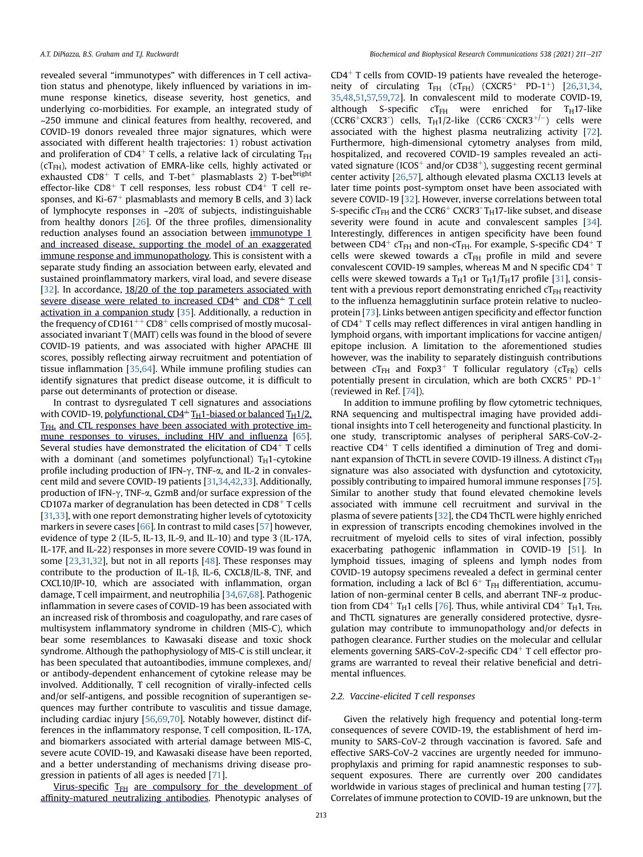revealed several "immunotypes" with differences in T cell activation status and phenotype, likely influenced by variations in immune response kinetics, disease severity, host genetics, and underlying co-morbidities. For example, an integrated study of ~250 immune and clinical features from healthy, recovered, and COVID-19 donors revealed three major signatures, which were associated with different health trajectories: 1) robust activation and proliferation of CD4<sup>+</sup> T cells, a relative lack of circulating  $T_{FH}$  $(cT<sub>FH</sub>)$ , modest activation of EMRA-like cells, highly activated or exhausted  $CD8<sup>+</sup>$  T cells, and T-bet<sup>+</sup> plasmablasts 2) T-bet<sup>bright</sup> effector-like CD8<sup>+</sup> T cell responses, less robust CD4<sup>+</sup> T cell responses, and Ki-67<sup>+</sup> plasmablasts and memory B cells, and 3) lack of lymphocyte responses in ~20% of subjects, indistinguishable from healthy donors  $[26]$  $[26]$  $[26]$ . Of the three profiles, dimensionality reduction analyses found an association between immunotype 1 and increased disease, supporting the model of an exaggerated immune response and immunopathology. This is consistent with a separate study finding an association between early, elevated and sustained proinflammatory markers, viral load, and severe disease [[32](#page-4-18)]. In accordance, 18/20 of the top parameters associated with severe disease were related to increased  $CD4^+$  and  $CD8^+$  T cell activation in a companion study [\[35](#page-4-19)]. Additionally, a reduction in the frequency of CD161<sup>++</sup> CD8<sup>+</sup> cells comprised of mostly mucosalassociated invariant T (MAIT) cells was found in the blood of severe COVID-19 patients, and was associated with higher APACHE III scores, possibly reflecting airway recruitment and potentiation of tissue inflammation [\[35](#page-4-19)[,64\]](#page-5-18). While immune profiling studies can identify signatures that predict disease outcome, it is difficult to parse out determinants of protection or disease.

In contrast to dysregulated T cell signatures and associations with COVID-19, polyfunctional,  $CD4+T_H1$ -biased or balanced  $T_H1/2$ , TFH, and CTL responses have been associated with protective im-mune responses to viruses, including HIV and influenza [\[65\]](#page-5-19). Several studies have demonstrated the elicitation of  $CD4<sup>+</sup>$  T cells with a dominant (and sometimes polyfunctional)  $T_H$ 1-cytokine profile including production of IFN- $\gamma$ , TNF- $\alpha$ , and IL-2 in convalescent mild and severe COVID-19 patients [[31,](#page-4-23)[34](#page-4-17)[,42,](#page-5-6)[33](#page-4-16)]. Additionally, production of IFN- $\gamma$ , TNF- $\alpha$ , GzmB and/or surface expression of the CD107a marker of degranulation has been detected in  $CD8<sup>+</sup>$  T cells [[31,](#page-4-23)[33](#page-4-16)], with one report demonstrating higher levels of cytotoxicity markers in severe cases [[66](#page-5-20)]. In contrast to mild cases [\[57\]](#page-5-13) however, evidence of type 2 (IL-5, IL-13, IL-9, and IL-10) and type 3 (IL-17A, IL-17F, and IL-22) responses in more severe COVID-19 was found in some [[23](#page-4-12)[,31](#page-4-23)[,32\]](#page-4-18), but not in all reports [[48](#page-5-4)]. These responses may contribute to the production of IL-1 $\beta$ , IL-6, CXCL8/IL-8, TNF, and CXCL10/IP-10, which are associated with inflammation, organ damage, T cell impairment, and neutrophilia [[34](#page-4-17)[,67,](#page-5-21)[68](#page-5-22)]. Pathogenic inflammation in severe cases of COVID-19 has been associated with an increased risk of thrombosis and coagulopathy, and rare cases of multisystem inflammatory syndrome in children (MIS-C), which bear some resemblances to Kawasaki disease and toxic shock syndrome. Although the pathophysiology of MIS-C is still unclear, it has been speculated that autoantibodies, immune complexes, and/ or antibody-dependent enhancement of cytokine release may be involved. Additionally, T cell recognition of virally-infected cells and/or self-antigens, and possible recognition of superantigen sequences may further contribute to vasculitis and tissue damage, including cardiac injury [\[56,](#page-5-23)[69](#page-5-24)[,70\]](#page-5-25). Notably however, distinct differences in the inflammatory response, T cell composition, IL-17A, and biomarkers associated with arterial damage between MIS-C, severe acute COVID-19, and Kawasaki disease have been reported, and a better understanding of mechanisms driving disease progression in patients of all ages is needed [\[71\]](#page-5-26).

Virus-specific  $T_{FH}$  are compulsory for the development of affinity-matured neutralizing antibodies. Phenotypic analyses of  $CD4<sup>+</sup>$  T cells from COVID-19 patients have revealed the heteroge-neity of circulating T<sub>FH</sub> (cT<sub>FH</sub>) (CXCR5<sup>+</sup> PD-1<sup>+</sup>) [[26](#page-4-15),[31,](#page-4-23)[34,](#page-4-17) [35](#page-4-19),[48](#page-5-4)[,51,](#page-5-27)[57,](#page-5-13)[59](#page-5-15)[,72\]](#page-5-28). In convalescent mild to moderate COVID-19, although S-specific  $cT_{FH}$  were enriched for T<sub>H</sub>17-like  $(CCR6+CXCR3^-)$  cells,  $T_H1/2$ -like  $(CCR6-CXCR3^{+/-})$  cells were associated with the highest plasma neutralizing activity [[72\]](#page-5-28). Furthermore, high-dimensional cytometry analyses from mild, hospitalized, and recovered COVID-19 samples revealed an activated signature (ICOS<sup>+</sup> and/or CD38<sup>+</sup>), suggesting recent germinal center activity [[26](#page-4-15),[57](#page-5-13)], although elevated plasma CXCL13 levels at later time points post-symptom onset have been associated with severe COVID-19 [[32](#page-4-18)]. However, inverse correlations between total S-specific  $cT<sub>FH</sub>$  and the CCR6<sup>+</sup> CXCR3<sup>-</sup> T<sub>H</sub>17-like subset, and disease severity were found in acute and convalescent samples [\[34\]](#page-4-17). Interestingly, differences in antigen specificity have been found between CD4<sup>+</sup> cT<sub>FH</sub> and non-cT<sub>FH</sub>. For example, S-specific CD4<sup>+</sup> T cells were skewed towards a  $cT<sub>FH</sub>$  profile in mild and severe convalescent COVID-19 samples, whereas M and N specific  $CD4^+$  T cells were skewed towards a T<sub>H</sub>1 or T<sub>H</sub>1/T<sub>H</sub>17 profile [\[31\]](#page-4-23), consistent with a previous report demonstrating enriched  $cT<sub>FH</sub>$  reactivity to the influenza hemagglutinin surface protein relative to nucleoprotein [[73\]](#page-5-29). Links between antigen specificity and effector function of  $CD4<sup>+</sup>$  T cells may reflect differences in viral antigen handling in lymphoid organs, with important implications for vaccine antigen/ epitope inclusion. A limitation to the aforementioned studies however, was the inability to separately distinguish contributions between  $cT_{FH}$  and  $Foxp3$ <sup>+</sup> T follicular regulatory ( $cT_{FR}$ ) cells potentially present in circulation, which are both  $CXCR5^+$  PD-1<sup>+</sup> (reviewed in Ref. [\[74](#page-6-0)]).

In addition to immune profiling by flow cytometric techniques, RNA sequencing and multispectral imaging have provided additional insights into T cell heterogeneity and functional plasticity. In one study, transcriptomic analyses of peripheral SARS-CoV-2 reactive CD4<sup>+</sup> T cells identified a diminution of Treg and dominant expansion of ThCTL in severe COVID-19 illness. A distinct  $cT_{FH}$ signature was also associated with dysfunction and cytotoxicity, possibly contributing to impaired humoral immune responses [\[75\]](#page-6-1). Similar to another study that found elevated chemokine levels associated with immune cell recruitment and survival in the plasma of severe patients [[32](#page-4-18)], the CD4 ThCTL were highly enriched in expression of transcripts encoding chemokines involved in the recruitment of myeloid cells to sites of viral infection, possibly exacerbating pathogenic inflammation in COVID-19 [\[51](#page-5-27)]. In lymphoid tissues, imaging of spleens and lymph nodes from COVID-19 autopsy specimens revealed a defect in germinal center formation, including a lack of Bcl  $6^+$  T<sub>FH</sub> differentiation, accumulation of non-germinal center B cells, and aberrant TNF-a produc-tion from CD4<sup>+</sup> T<sub>H</sub>1 cells [\[76](#page-6-2)]. Thus, while antiviral CD4<sup>+</sup> T<sub>H</sub>1, T<sub>FH</sub>, and ThCTL signatures are generally considered protective, dysregulation may contribute to immunopathology and/or defects in pathogen clearance. Further studies on the molecular and cellular elements governing SARS-CoV-2-specific  $CD4<sup>+</sup>$  T cell effector programs are warranted to reveal their relative beneficial and detrimental influences.

#### 2.2. Vaccine-elicited T cell responses

Given the relatively high frequency and potential long-term consequences of severe COVID-19, the establishment of herd immunity to SARS-CoV-2 through vaccination is favored. Safe and effective SARS-CoV-2 vaccines are urgently needed for immunoprophylaxis and priming for rapid anamnestic responses to subsequent exposures. There are currently over 200 candidates worldwide in various stages of preclinical and human testing [\[77\]](#page-6-3). Correlates of immune protection to COVID-19 are unknown, but the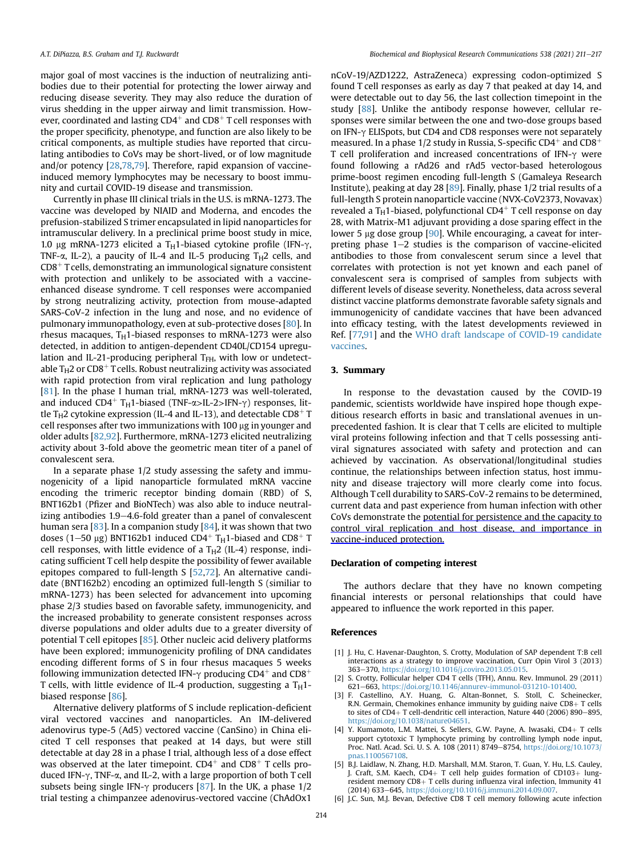major goal of most vaccines is the induction of neutralizing antibodies due to their potential for protecting the lower airway and reducing disease severity. They may also reduce the duration of virus shedding in the upper airway and limit transmission. However, coordinated and lasting  $CD4^+$  and  $CD8^+$  T cell responses with the proper specificity, phenotype, and function are also likely to be critical components, as multiple studies have reported that circulating antibodies to CoVs may be short-lived, or of low magnitude and/or potency [[28](#page-4-24),[78](#page-6-4)[,79\]](#page-6-5). Therefore, rapid expansion of vaccineinduced memory lymphocytes may be necessary to boost immunity and curtail COVID-19 disease and transmission.

Currently in phase III clinical trials in the U.S. is mRNA-1273. The vaccine was developed by NIAID and Moderna, and encodes the prefusion-stabilized S trimer encapsulated in lipid nanoparticles for intramuscular delivery. In a preclinical prime boost study in mice, 1.0 µg mRNA-1273 elicited a T<sub>H</sub>1-biased cytokine profile (IFN- $\gamma$ , TNF- $\alpha$ , IL-2), a paucity of IL-4 and IL-5 producing T<sub>H</sub>2 cells, and  $CD8<sup>+</sup>$  T cells, demonstrating an immunological signature consistent with protection and unlikely to be associated with a vaccineenhanced disease syndrome. T cell responses were accompanied by strong neutralizing activity, protection from mouse-adapted SARS-CoV-2 infection in the lung and nose, and no evidence of pulmonary immunopathology, even at sub-protective doses [\[80\]](#page-6-6). In rhesus macaques,  $T_H$ 1-biased responses to mRNA-1273 were also detected, in addition to antigen-dependent CD40L/CD154 upregulation and IL-21-producing peripheral  $T<sub>FH</sub>$ , with low or undetectable  $T_H2$  or CD8<sup>+</sup> T cells. Robust neutralizing activity was associated with rapid protection from viral replication and lung pathology [[81](#page-6-7)]. In the phase I human trial, mRNA-1273 was well-tolerated, and induced CD4<sup>+</sup> T<sub>H</sub>1-biased (TNF- $\alpha$ >IL-2>IFN- $\gamma$ ) responses, little T<sub>H</sub>2 cytokine expression (IL-4 and IL-13), and detectable CD8<sup>+</sup> T cell responses after two immunizations with 100 µg in younger and older adults [\[82,92\]](#page-6-8). Furthermore, mRNA-1273 elicited neutralizing activity about 3-fold above the geometric mean titer of a panel of convalescent sera.

In a separate phase 1/2 study assessing the safety and immunogenicity of a lipid nanoparticle formulated mRNA vaccine encoding the trimeric receptor binding domain (RBD) of S, BNT162b1 (Pfizer and BioNTech) was also able to induce neutralizing antibodies  $1.9-4.6$ -fold greater than a panel of convalescent human sera [[83](#page-6-9)]. In a companion study [[84](#page-6-10)], it was shown that two doses (1–50  $\mu$ g) BNT162b1 induced CD4<sup>+</sup> T<sub>H</sub>1-biased and CD8<sup>+</sup> T cell responses, with little evidence of a  $T_H2$  (IL-4) response, indicating sufficient T cell help despite the possibility of fewer available epitopes compared to full-length S [[52](#page-5-9)[,72](#page-5-28)]. An alternative candidate (BNT162b2) encoding an optimized full-length S (similiar to mRNA-1273) has been selected for advancement into upcoming phase 2/3 studies based on favorable safety, immunogenicity, and the increased probability to generate consistent responses across diverse populations and older adults due to a greater diversity of potential T cell epitopes [\[85\]](#page-6-11). Other nucleic acid delivery platforms have been explored; immunogenicity profiling of DNA candidates encoding different forms of S in four rhesus macaques 5 weeks following immunization detected IFN- $\gamma$  producing CD4<sup>+</sup> and CD8<sup>+</sup> T cells, with little evidence of IL-4 production, suggesting a  $T_H$ 1biased response [\[86\]](#page-6-12).

Alternative delivery platforms of S include replication-deficient viral vectored vaccines and nanoparticles. An IM-delivered adenovirus type-5 (Ad5) vectored vaccine (CanSino) in China elicited T cell responses that peaked at 14 days, but were still detectable at day 28 in a phase I trial, although less of a dose effect was observed at the later timepoint.  $CD4^+$  and  $CD8^+$  T cells produced IFN- $\gamma$ , TNF- $\alpha$ , and IL-2, with a large proportion of both T cell subsets being single IFN- $\gamma$  producers [\[87\]](#page-6-13). In the UK, a phase 1/2 trial testing a chimpanzee adenovirus-vectored vaccine (ChAdOx1

nCoV-19/AZD1222, AstraZeneca) expressing codon-optimized S found T cell responses as early as day 7 that peaked at day 14, and were detectable out to day 56, the last collection timepoint in the study [[88](#page-6-14)]. Unlike the antibody response however, cellular responses were similar between the one and two-dose groups based on IFN-g ELISpots, but CD4 and CD8 responses were not separately measured. In a phase  $1/2$  study in Russia, S-specific CD4<sup>+</sup> and CD8<sup>+</sup> T cell proliferation and increased concentrations of IFN- $\gamma$  were found following a rAd26 and rAd5 vector-based heterologous prime-boost regimen encoding full-length S (Gamaleya Research Institute), peaking at day 28 [\[89\]](#page-6-15). Finally, phase 1/2 trial results of a full-length S protein nanoparticle vaccine (NVX-CoV2373, Novavax) revealed a  $T_H$ 1-biased, polyfunctional CD4<sup>+</sup> T cell response on day 28, with Matrix-M1 adjuvant providing a dose sparing effect in the lower 5  $\mu$ g dose group [\[90\]](#page-6-16). While encouraging, a caveat for interpreting phase  $1-2$  studies is the comparison of vaccine-elicited antibodies to those from convalescent serum since a level that correlates with protection is not yet known and each panel of convalescent sera is comprised of samples from subjects with different levels of disease severity. Nonetheless, data across several distinct vaccine platforms demonstrate favorable safety signals and immunogenicity of candidate vaccines that have been advanced into efficacy testing, with the latest developments reviewed in Ref. [\[77,](#page-6-3)[91](#page-6-17)] and the [WHO draft landscape of COVID-19 candidate](https://www.who.int/publications/m/item/draft-landscape-of-covid-19-candidate-vaccines) [vaccines](https://www.who.int/publications/m/item/draft-landscape-of-covid-19-candidate-vaccines).

### 3. Summary

In response to the devastation caused by the COVID-19 pandemic, scientists worldwide have inspired hope though expeditious research efforts in basic and translational avenues in unprecedented fashion. It is clear that T cells are elicited to multiple viral proteins following infection and that T cells possessing antiviral signatures associated with safety and protection and can achieved by vaccination. As observational/longitudinal studies continue, the relationships between infection status, host immunity and disease trajectory will more clearly come into focus. Although T cell durability to SARS-CoV-2 remains to be determined, current data and past experience from human infection with other CoVs demonstrate the potential for persistence and the capacity to control viral replication and host disease, and importance in vaccine-induced protection.

### Declaration of competing interest

The authors declare that they have no known competing financial interests or personal relationships that could have appeared to influence the work reported in this paper.

#### **References**

- <span id="page-3-0"></span>[1] J. Hu, C. Havenar-Daughton, S. Crotty, Modulation of SAP dependent T:B cell interactions as a strategy to improve vaccination, Curr Opin Virol 3 (2013) 363e370, <https://doi.org/10.1016/j.coviro.2013.05.015>.
- <span id="page-3-1"></span>[2] S. Crotty, Follicular helper CD4 T cells (TFH), Annu. Rev. Immunol. 29 (2011) 621e663, [https://doi.org/10.1146/annurev-immunol-031210-101400.](https://doi.org/10.1146/annurev-immunol-031210-101400)
- <span id="page-3-2"></span>[3] F. Castellino, A.Y. Huang, G. Altan-Bonnet, S. Stoll, C. Scheinecker, R.N. Germain, Chemokines enhance immunity by guiding naive  $CD8+T$  cells to sites of CD4+ T cell-dendritic cell interaction, Nature 440 (2006) 890-895, [https://doi.org/10.1038/nature04651.](https://doi.org/10.1038/nature04651)
- [4] Y. Kumamoto, L.M. Mattei, S. Sellers, G.W. Payne, A. Iwasaki, CD4+ T cells support cytotoxic T lymphocyte priming by controlling lymph node input,<br>Proc. Natl. Acad. Sci. U. S. A. 108 (2011) 8749–8754, [https://doi.org/10.1073/](https://doi.org/10.1073/pnas.1100567108) [pnas.1100567108](https://doi.org/10.1073/pnas.1100567108).
- [5] B.J. Laidlaw, N. Zhang, H.D. Marshall, M.M. Staron, T. Guan, Y. Hu, L.S. Cauley, J. Craft, S.M. Kaech, CD4+ T cell help guides formation of CD103+ lungresident memory  $CD8+T$  cells during influenza viral infection, Immunity  $\overline{41}$ (2014) 633–645, [https://doi.org/10.1016/j.immuni.2014.09.007.](https://doi.org/10.1016/j.immuni.2014.09.007)
- [6] J.C. Sun, M.J. Bevan, Defective CD8 T cell memory following acute infection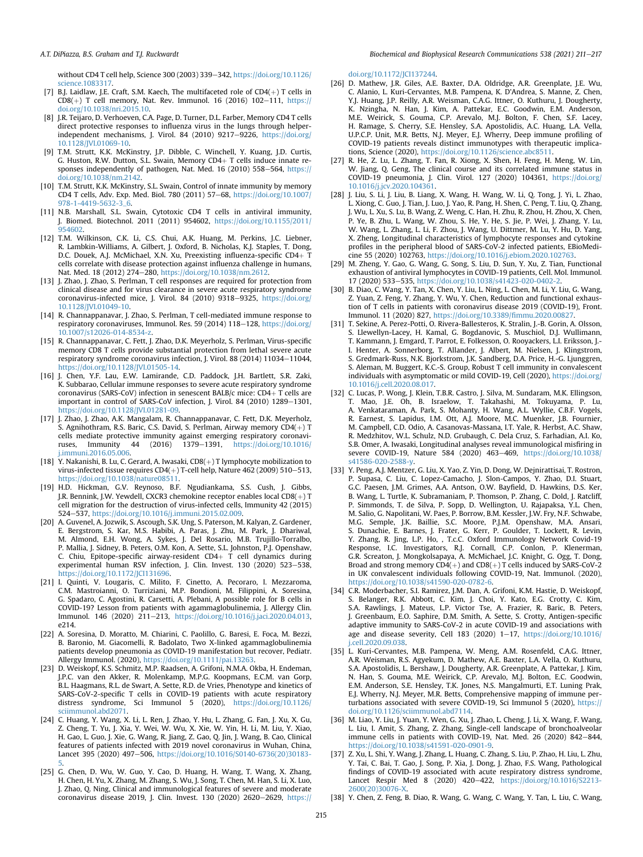without CD4 T cell help, Science 300 (2003) 339-342, [https://doi.org/10.1126/](https://doi.org/10.1126/science.1083317) [science.1083317.](https://doi.org/10.1126/science.1083317)

- <span id="page-4-0"></span>[7] B.J. Laidlaw, J.E. Craft, S.M. Kaech, The multifaceted role of  $CD4(+)$  T cells in  $CD8(+)$  T cell memory, Nat. Rev. Immunol. 16 (2016) 102-111, [https://](https://doi.org/10.1038/nri.2015.10) [doi.org/10.1038/nri.2015.10.](https://doi.org/10.1038/nri.2015.10)
- <span id="page-4-1"></span>[8] J.R. Teijaro, D. Verhoeven, C.A. Page, D. Turner, D.L. Farber, Memory CD4 T cells direct protective responses to influenza virus in the lungs through helperindependent mechanisms, J. Virol. 84 (2010) 9217-9226, [https://doi.org/](https://doi.org/10.1128/JVI.01069-10) [10.1128/JVI.01069-10](https://doi.org/10.1128/JVI.01069-10).
- [9] T.M. Strutt, K.K. McKinstry, J.P. Dibble, C. Winchell, Y. Kuang, J.D. Curtis, G. Huston, R.W. Dutton, S.L. Swain, Memory  $CD4+T$  cells induce innate responses independently of pathogen, Nat. Med. 16 (2010) 558-564, [https://](https://doi.org/10.1038/nm.2142) [doi.org/10.1038/nm.2142](https://doi.org/10.1038/nm.2142).
- [10] T.M. Strutt, K.K. McKinstry, S.L. Swain, Control of innate immunity by memory CD4 T cells, Adv. Exp. Med. Biol. 780 (2011) 57-68, [https://doi.org/10.1007/](https://doi.org/10.1007/978-1-4419-5632-3_6) [978-1-4419-5632-3\\_6](https://doi.org/10.1007/978-1-4419-5632-3_6).
- <span id="page-4-2"></span>[11] N.B. Marshall, S.L. Swain, Cytotoxic CD4 T cells in antiviral immunity, J. Biomed. Biotechnol. 2011 (2011) 954602, [https://doi.org/10.1155/2011/](https://doi.org/10.1155/2011/954602) [954602.](https://doi.org/10.1155/2011/954602)
- <span id="page-4-3"></span>[12] T.M. Wilkinson, C.K. Li, C.S. Chui, A.K. Huang, M. Perkins, J.C. Liebner, R. Lambkin-Williams, A. Gilbert, J. Oxford, B. Nicholas, K.J. Staples, T. Dong, D.C. Douek, A.J. McMichael, X.N. Xu, Preexisting influenza-specific CD4+ T cells correlate with disease protection against influenza challenge in humans, Nat. Med. 18 (2012) 274-280, <https://doi.org/10.1038/nm.2612>.
- <span id="page-4-4"></span>[13] J. Zhao, J. Zhao, S. Perlman, T cell responses are required for protection from clinical disease and for virus clearance in severe acute respiratory syndrome coronavirus-infected mice, J. Virol. 84 (2010) 9318-9325, [https://doi.org/](https://doi.org/10.1128/JVI.01049-10) [10.1128/JVI.01049-10.](https://doi.org/10.1128/JVI.01049-10)
- <span id="page-4-5"></span>[14] R. Channappanavar, J. Zhao, S. Perlman, T cell-mediated immune response to respiratory coronaviruses, Immunol. Res. 59 (2014) 118-128, [https://doi.org/](https://doi.org/10.1007/s12026-014-8534-z) [10.1007/s12026-014-8534-z](https://doi.org/10.1007/s12026-014-8534-z).
- <span id="page-4-6"></span>[15] R. Channappanavar, C. Fett, J. Zhao, D.K. Meyerholz, S. Perlman, Virus-specific memory CD8 T cells provide substantial protection from lethal severe acute respiratory syndrome coronavirus infection, J. Virol. 88 (2014) 11034-11044, <https://doi.org/10.1128/JVI.01505-14>.
- <span id="page-4-7"></span>[16] J. Chen, Y.F. Lau, E.W. Lamirande, C.D. Paddock, J.H. Bartlett, S.R. Zaki, K. Subbarao, Cellular immune responses to severe acute respiratory syndrome coronavirus (SARS-CoV) infection in senescent BALB/c mice:  $CD4+T$  cells are important in control of SARS-CoV infection, J. Virol. 84 (2010) 1289-1301, <https://doi.org/10.1128/JVI.01281-09>.
- <span id="page-4-8"></span>[17] J. Zhao, J. Zhao, A.K. Mangalam, R. Channappanavar, C. Fett, D.K. Meyerholz, S. Agnihothram, R.S. Baric, C.S. David, S. Perlman, Airway memory  $CD4(+)$  T cells mediate protective immunity against emerging respiratory coronavi-<br>ruses, Immunity  $44$  (2016) 1379–1391, https://doi.org/10.1016/ ruses, Immunity 44 (2016) 1379-1391, [https://doi.org/10.1016/](https://doi.org/10.1016/j.immuni.2016.05.006) [j.immuni.2016.05.006](https://doi.org/10.1016/j.immuni.2016.05.006).
- <span id="page-4-9"></span>[18] Y. Nakanishi, B. Lu, C. Gerard, A. Iwasaki, CD8(+) T lymphocyte mobilization to virus-infected tissue requires  $CD4(+)$  T-cell help, Nature 462 (2009) 510-513, <https://doi.org/10.1038/nature08511>.
- [19] H.D. Hickman, G.V. Reynoso, B.F. Ngudiankama, S.S. Cush, J. Gibbs, J.R. Bennink, J.W. Yewdell, CXCR3 chemokine receptor enables local CD8(+) T cell migration for the destruction of virus-infected cells, Immunity 42 (2015) 524-537, <https://doi.org/10.1016/j.immuni.2015.02.009>
- [20] A. Guvenel, A. Jozwik, S. Ascough, S.K. Ung, S. Paterson, M. Kalyan, Z. Gardener, E. Bergstrom, S. Kar, M.S. Habibi, A. Paras, J. Zhu, M. Park, J. Dhariwal, M. Almond, E.H. Wong, A. Sykes, J. Del Rosario, M.B. Trujillo-Torralbo, P. Mallia, J. Sidney, B. Peters, O.M. Kon, A. Sette, S.L. Johnston, P.J. Openshaw, C. Chiu, Epitope-specific airway-resident CD4+ T cell dynamics during experimental human RSV infection, J. Clin. Invest. 130 (2020) 523–538, <https://doi.org/10.1172/JCI131696>.
- <span id="page-4-10"></span>[21] I. Quinti, V. Lougaris, C. Milito, F. Cinetto, A. Pecoraro, I. Mezzaroma, C.M. Mastroianni, O. Turriziani, M.P. Bondioni, M. Filippini, A. Soresina, G. Spadaro, C. Agostini, R. Carsetti, A. Plebani, A possible role for B cells in COVID-19? Lesson from patients with agammaglobulinemia, J. Allergy Clin. Immunol. 146 (2020) 211-213, <https://doi.org/10.1016/j.jaci.2020.04.013>, e214.
- <span id="page-4-11"></span>[22] A. Soresina, D. Moratto, M. Chiarini, C. Paolillo, G. Baresi, E. Foca, M. Bezzi, B. Baronio, M. Giacomelli, R. Badolato, Two X-linked agammaglobulinemia patients develop pneumonia as COVID-19 manifestation but recover, Pediatr. Allergy Immunol. (2020), <https://doi.org/10.1111/pai.13263>.
- <span id="page-4-12"></span>[23] D. Weiskopf, K.S. Schmitz, M.P. Raadsen, A. Grifoni, N.M.A. Okba, H. Endeman, J.P.C. van den Akker, R. Molenkamp, M.P.G. Koopmans, E.C.M. van Gorp, B.L. Haagmans, R.L. de Swart, A. Sette, R.D. de Vries, Phenotype and kinetics of SARS-CoV-2-specific T cells in COVID-19 patients with acute respiratory distress syndrome, Sci Immunol 5 (2020), [https://doi.org/10.1126/](https://doi.org/10.1126/sciimmunol.abd2071) [sciimmunol.abd2071](https://doi.org/10.1126/sciimmunol.abd2071).
- [24] C. Huang, Y. Wang, X. Li, L. Ren, J. Zhao, Y. Hu, L. Zhang, G. Fan, J. Xu, X. Gu, Z. Cheng, T. Yu, J. Xia, Y. Wei, W. Wu, X. Xie, W. Yin, H. Li, M. Liu, Y. Xiao, H. Gao, L. Guo, J. Xie, G. Wang, R. Jiang, Z. Gao, Q. Jin, J. Wang, B. Cao, Clinical features of patients infected with 2019 novel coronavirus in Wuhan, China, Lancet 395 (2020) 497-506, [https://doi.org/10.1016/S0140-6736\(20\)30183-](https://doi.org/10.1016/S0140-6736(20)30183-5)
- [5.](https://doi.org/10.1016/S0140-6736(20)30183-5) [25] G. Chen, D. Wu, W. Guo, Y. Cao, D. Huang, H. Wang, T. Wang, X. Zhang, H. Chen, H. Yu, X. Zhang, M. Zhang, S. Wu, J. Song, T. Chen, M. Han, S. Li, X. Luo, J. Zhao, Q. Ning, Clinical and immunological features of severe and moderate coronavirus disease 2019, J. Clin. Invest. 130 (2020) 2620-2629, [https://](https://doi.org/10.1172/JCI137244)

[doi.org/10.1172/JCI137244.](https://doi.org/10.1172/JCI137244)

- <span id="page-4-15"></span>[26] D. Mathew, J.R. Giles, A.E. Baxter, D.A. Oldridge, A.R. Greenplate, J.E. Wu, C. Alanio, L. Kuri-Cervantes, M.B. Pampena, K. D'Andrea, S. Manne, Z. Chen, Y.J. Huang, J.P. Reilly, A.R. Weisman, C.A.G. Ittner, O. Kuthuru, J. Dougherty, K. Nzingha, N. Han, J. Kim, A. Pattekar, E.C. Goodwin, E.M. Anderson, M.E. Weirick, S. Gouma, C.P. Arevalo, M.J. Bolton, F. Chen, S.F. Lacey, H. Ramage, S. Cherry, S.E. Hensley, S.A. Apostolidis, A.C. Huang, L.A. Vella, U.P.C.P. Unit, M.R. Betts, N.J. Meyer, E.J. Wherry, Deep immune profiling of COVID-19 patients reveals distinct immunotypes with therapeutic implications, Science (2020), <https://doi.org/10.1126/science.abc8511>.
- [27] R. He, Z. Lu, L. Zhang, T. Fan, R. Xiong, X. Shen, H. Feng, H. Meng, W. Lin, W. Jiang, Q. Geng, The clinical course and its correlated immune status in COVID-19 pneumonia, J. Clin. Virol. 127 (2020) 104361, [https://doi.org/](https://doi.org/10.1016/j.jcv.2020.104361) [10.1016/j.jcv.2020.104361.](https://doi.org/10.1016/j.jcv.2020.104361)
- <span id="page-4-24"></span>[28] J. Liu, S. Li, J. Liu, B. Liang, X. Wang, H. Wang, W. Li, Q. Tong, J. Yi, L. Zhao, L. Xiong, C. Guo, J. Tian, J. Luo, J. Yao, R. Pang, H. Shen, C. Peng, T. Liu, Q. Zhang, J. Wu, L. Xu, S. Lu, B. Wang, Z. Weng, C. Han, H. Zhu, R. Zhou, H. Zhou, X. Chen, P. Ye, B. Zhu, L. Wang, W. Zhou, S. He, Y. He, S. Jie, P. Wei, J. Zhang, Y. Lu, W. Wang, L. Zhang, L. Li, F. Zhou, J. Wang, U. Dittmer, M. Lu, Y. Hu, D. Yang, X. Zheng, Longitudinal characteristics of lymphocyte responses and cytokine profiles in the peripheral blood of SARS-CoV-2 infected patients, EBioMedicine 55 (2020) 102763, <https://doi.org/10.1016/j.ebiom.2020.102763>.
- <span id="page-4-13"></span>[29] M. Zheng, Y. Gao, G. Wang, G. Song, S. Liu, D. Sun, Y. Xu, Z. Tian, Functional exhaustion of antiviral lymphocytes in COVID-19 patients, Cell. Mol. Immunol.
- <span id="page-4-14"></span>17 (2020) 533e535, <https://doi.org/10.1038/s41423-020-0402-2>. [30] B. Diao, C. Wang, Y. Tan, X. Chen, Y. Liu, L. Ning, L. Chen, M. Li, Y. Liu, G. Wang, Z. Yuan, Z. Feng, Y. Zhang, Y. Wu, Y. Chen, Reduction and functional exhaustion of T cells in patients with coronavirus disease 2019 (COVID-19), Front. Immunol. 11 (2020) 827, [https://doi.org/10.3389/](https://doi.org/10.3389/fimmu.2020.00827)fimmu.2020.00827.
- <span id="page-4-23"></span>[31] T. Sekine, A. Perez-Potti, O. Rivera-Ballesteros, K. Stralin, J.-B. Gorin, A. Olsson, S. Llewellyn-Lacey, H. Kamal, G. Bogdanovic, S. Muschiol, D.J. Wullimann, T. Kammann, J. Emgard, T. Parrot, E. Folkesson, O. Rooyackers, L.I. Eriksson, J.- I. Henter, A. Sonnerborg, T. Allander, J. Albert, M. Nielsen, J. Klingstrom, S. Gredmark-Russ, N.K. Bjorkstrom, J.K. Sandberg, D.A. Price, H.-G. Ljunggren, S. Aleman, M. Buggert, K.C.-S. Group, Robust T cell immunity in convalescent individuals with asymptomatic or mild COVID-19, Cell (2020), [https://doi.org/](https://doi.org/10.1016/j.cell.2020.08.017) [10.1016/j.cell.2020.08.017](https://doi.org/10.1016/j.cell.2020.08.017).
- <span id="page-4-18"></span>[32] C. Lucas, P. Wong, J. Klein, T.B.R. Castro, J. Silva, M. Sundaram, M.K. Ellingson, T. Mao, J.E. Oh, B. Israelow, T. Takahashi, M. Tokuyama, P. Lu, A. Venkataraman, A. Park, S. Mohanty, H. Wang, A.L. Wyllie, C.B.F. Vogels, R. Earnest, S. Lapidus, I.M. Ott, A.J. Moore, M.C. Muenker, J.B. Fournier, M. Campbell, C.D. Odio, A. Casanovas-Massana, I.T. Yale, R. Herbst, A.C. Shaw, R. Medzhitov, W.L. Schulz, N.D. Grubaugh, C. Dela Cruz, S. Farhadian, A.I. Ko, S.B. Omer, A. Iwasaki, Longitudinal analyses reveal immunological misfiring in severe COVID-19, Nature 584 (2020) 463-469, [https://doi.org/10.1038/](https://doi.org/10.1038/s41586-020-2588-y) [s41586-020-2588-y](https://doi.org/10.1038/s41586-020-2588-y).
- <span id="page-4-16"></span>[33] Y. Peng, A.J. Mentzer, G. Liu, X. Yao, Z. Yin, D. Dong, W. Dejnirattisai, T. Rostron, P. Supasa, C. Liu, C. Lopez-Camacho, J. Slon-Campos, Y. Zhao, D.I. Stuart, G.C. Paesen, J.M. Grimes, A.A. Antson, O.W. Bayfield, D. Hawkins, D.S. Ker, B. Wang, L. Turtle, K. Subramaniam, P. Thomson, P. Zhang, C. Dold, J. Ratcliff, P. Simmonds, T. de Silva, P. Sopp, D. Wellington, U. Rajapaksa, Y.L. Chen, M. Salio, G. Napolitani, W. Paes, P. Borrow, B.M. Kessler, J.W. Fry, N.F. Schwabe, M.G. Semple, J.K. Baillie, S.C. Moore, P.J.M. Openshaw, M.A. Ansari, S. Dunachie, E. Barnes, J. Frater, G. Kerr, P. Goulder, T. Lockett, R. Levin, Y. Zhang, R. Jing, L.P. Ho, , T.c.C. Oxford Immunology Network Covid-19 Response, I.C. Investigators, R.J. Cornall, C.P. Conlon, P. Klenerman, G.R. Screaton, J. Mongkolsapaya, A. McMichael, J.C. Knight, G. Ogg, T. Dong, Broad and strong memory  $CD4(+)$  and  $CD8(+)$  T cells induced by SARS-CoV-2 in UK convalescent individuals following COVID-19, Nat. Immunol. (2020), [https://doi.org/10.1038/s41590-020-0782-6.](https://doi.org/10.1038/s41590-020-0782-6)
- <span id="page-4-17"></span>[34] C.R. Moderbacher, S.I. Ramirez, J.M. Dan, A. Grifoni, K.M. Hastie, D. Weiskopf, S. Belanger, R.K. Abbott, C. Kim, J. Choi, Y. Kato, E.G. Crotty, C. Kim, S.A. Rawlings, J. Mateus, L.P. Victor Tse, A. Frazier, R. Baric, B. Peters, J. Greenbaum, E.O. Saphire, D.M. Smith, A. Sette, S. Crotty, Antigen-specific adaptive immunity to SARS-CoV-2 in acute COVID-19 and associations with age and disease severity, Cell 183 (2020) 1-17, [https://doi.org/10.1016/](https://doi.org/10.1016/j.cell.2020.09.038) [j.cell.2020.09.038.](https://doi.org/10.1016/j.cell.2020.09.038)
- <span id="page-4-19"></span>[35] L. Kuri-Cervantes, M.B. Pampena, W. Meng, A.M. Rosenfeld, C.A.G. Ittner, A.R. Weisman, R.S. Agyekum, D. Mathew, A.E. Baxter, L.A. Vella, O. Kuthuru, S.A. Apostolidis, L. Bershaw, J. Dougherty, A.R. Greenplate, A. Pattekar, J. Kim, N. Han, S. Gouma, M.E. Weirick, C.P. Arevalo, M.J. Bolton, E.C. Goodwin, E.M. Anderson, S.E. Hensley, T.K. Jones, N.S. Mangalmurti, E.T. Luning Prak, E.J. Wherry, N.J. Meyer, M.R. Betts, Comprehensive mapping of immune perturbations associated with severe COVID-19, Sci Immunol 5 (2020), [https://](https://doi.org/10.1126/sciimmunol.abd7114) [doi.org/10.1126/sciimmunol.abd7114](https://doi.org/10.1126/sciimmunol.abd7114).
- <span id="page-4-20"></span>[36] M. Liao, Y. Liu, J. Yuan, Y. Wen, G. Xu, J. Zhao, L. Cheng, J. Li, X. Wang, F. Wang, L. Liu, I. Amit, S. Zhang, Z. Zhang, Single-cell landscape of bronchoalveolar immune cells in patients with COVID-19, Nat. Med. 26 (2020) 842-844, [https://doi.org/10.1038/s41591-020-0901-9.](https://doi.org/10.1038/s41591-020-0901-9)
- <span id="page-4-21"></span>[37] Z. Xu, L. Shi, Y. Wang, J. Zhang, L. Huang, C. Zhang, S. Liu, P. Zhao, H. Liu, L. Zhu, Y. Tai, C. Bai, T. Gao, J. Song, P. Xia, J. Dong, J. Zhao, F.S. Wang, Pathological findings of COVID-19 associated with acute respiratory distress syndrome,  $Lancet$  Respir Med 8 (2020) 420-422, [https://doi.org/10.1016/S2213-](https://doi.org/10.1016/S2213-2600(20)30076-X) [2600\(20\)30076-X.](https://doi.org/10.1016/S2213-2600(20)30076-X)
- <span id="page-4-22"></span>[38] Y. Chen, Z. Feng, B. Diao, R. Wang, G. Wang, C. Wang, Y. Tan, L. Liu, C. Wang,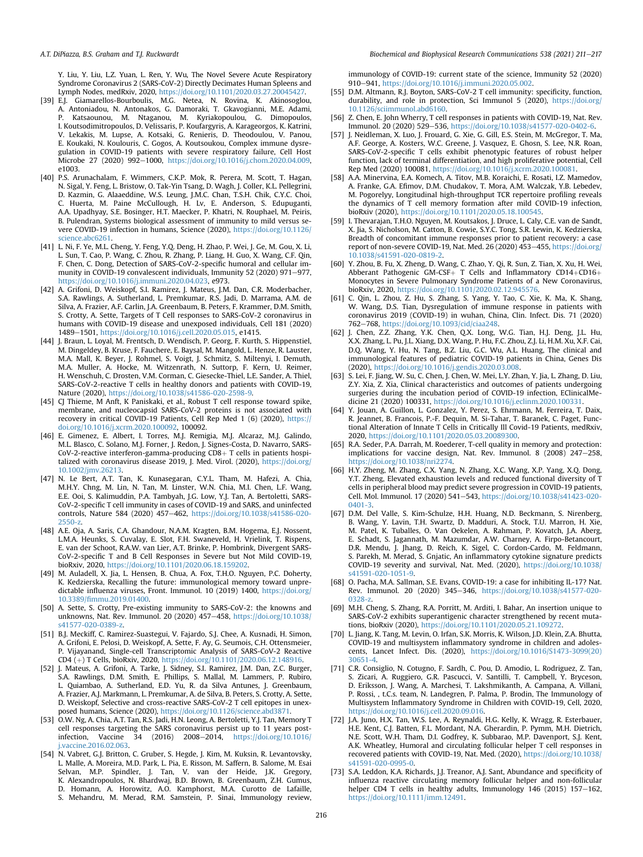Y. Liu, Y. Liu, L.Z. Yuan, L. Ren, Y. Wu, The Novel Severe Acute Respiratory Syndrome Coronavirus 2 (SARS-CoV-2) Directly Decimates Human Spleens and

- <span id="page-5-0"></span>Lymph Nodes, medRxiv, 2020, <https://doi.org/10.1101/2020.03.27.20045427>. [39] E.J. Giamarellos-Bourboulis, M.G. Netea, N. Rovina, K. Akinosoglou, A. Antoniadou, N. Antonakos, G. Damoraki, T. Gkavogianni, M.E. Adami, P. Katsaounou, M. Ntaganou, M. Kyriakopoulou, G. Dimopoulos, I. Koutsodimitropoulos, D. Velissaris, P. Koufargyris, A. Karageorgos, K. Katrini, V. Lekakis, M. Lupse, A. Kotsaki, G. Renieris, D. Theodoulou, V. Panou, E. Koukaki, N. Koulouris, C. Gogos, A. Koutsoukou, Complex immune dysregulation in COVID-19 patients with severe respiratory failure, Cell Host Microbe 27 (2020) 992-1000, <https://doi.org/10.1016/j.chom.2020.04.009>, e1003.
- <span id="page-5-1"></span>[40] P.S. Arunachalam, F. Wimmers, C.K.P. Mok, R. Perera, M. Scott, T. Hagan, N. Sigal, Y. Feng, L. Bristow, O. Tak-Yin Tsang, D. Wagh, J. Coller, K.L. Pellegrini, D. Kazmin, G. Alaaeddine, W.S. Leung, J.M.C. Chan, T.S.H. Chik, C.Y.C. Choi, C. Huerta, M. Paine McCullough, H. Lv, E. Anderson, S. Edupuganti, A.A. Upadhyay, S.E. Bosinger, H.T. Maecker, P. Khatri, N. Rouphael, M. Peiris, B. Pulendran, Systems biological assessment of immunity to mild versus severe COVID-19 infection in humans, Science (2020), [https://doi.org/10.1126/](https://doi.org/10.1126/science.abc6261) [science.abc6261.](https://doi.org/10.1126/science.abc6261)
- <span id="page-5-2"></span>[41] L. Ni, F. Ye, M.L. Cheng, Y. Feng, Y.Q. Deng, H. Zhao, P. Wei, J. Ge, M. Gou, X. Li, L. Sun, T. Cao, P. Wang, C. Zhou, R. Zhang, P. Liang, H. Guo, X. Wang, C.F. Qin, F. Chen, C. Dong, Detection of SARS-CoV-2-specific humoral and cellular immunity in COVID-19 convalescent individuals, Immunity 52 (2020) 971-977, [https://doi.org/10.1016/j.immuni.2020.04.023,](https://doi.org/10.1016/j.immuni.2020.04.023) e973.
- <span id="page-5-6"></span>[42] A. Grifoni, D. Weiskopf, S.I. Ramirez, J. Mateus, J.M. Dan, C.R. Moderbacher, S.A. Rawlings, A. Sutherland, L. Premkumar, R.S. Jadi, D. Marrama, A.M. de Silva, A. Frazier, A.F. Carlin, J.A. Greenbaum, B. Peters, F. Krammer, D.M. Smith, S. Crotty, A. Sette, Targets of T Cell responses to SARS-CoV-2 coronavirus in humans with COVID-19 disease and unexposed individuals, Cell 181 (2020) 1489-1501, <https://doi.org/10.1016/j.cell.2020.05.015>, e1415.
- <span id="page-5-7"></span>[44] J. Braun, L. Loyal, M. Frentsch, D. Wendisch, P. Georg, F. Kurth, S. Hippenstiel, M. Dingeldey, B. Kruse, F. Fauchere, E. Baysal, M. Mangold, L. Henze, R. Lauster, M.A. Mall, K. Beyer, J. Rohmel, S. Voigt, J. Schmitz, S. Miltenyi, I. Demuth, M.A. Muller, A. Hocke, M. Witzenrath, N. Suttorp, F. Kern, U. Reimer, H. Wenschuh, C. Drosten, V.M. Corman, C. Giesecke-Thiel, L.E. Sander, A. Thiel, SARS-CoV-2-reactive T cells in healthy donors and patients with COVID-19, Nature (2020), <https://doi.org/10.1038/s41586-020-2598-9>.
- <span id="page-5-3"></span>[45] CJ Thieme, M Anft, K Paniskaki, et al., Robust T cell response toward spike, membrane, and nucleocapsid SARS-CoV-2 proteins is not associated with recovery in critical COVID-19 Patients, Cell Rep Med 1 (6) (2020), [https://](https://doi.org/10.1016/j.xcrm.2020.100092) [doi.org/10.1016/j.xcrm.2020.100092,](https://doi.org/10.1016/j.xcrm.2020.100092) 100092.
- [46] E. Gimenez, E. Albert, I. Torres, M.J. Remigia, M.J. Alcaraz, M.J. Galindo, M.L. Blasco, C. Solano, M.J. Forner, J. Redon, J. Signes-Costa, D. Navarro, SARS-CoV-2-reactive interferon-gamma-producing  $CD8+T$  cells in patients hospitalized with coronavirus disease 2019, J. Med. Virol. (2020), [https://doi.org/](https://doi.org/10.1002/jmv.26213) [10.1002/jmv.26213.](https://doi.org/10.1002/jmv.26213)
- <span id="page-5-10"></span>[47] N. Le Bert, A.T. Tan, K. Kunasegaran, C.Y.L. Tham, M. Hafezi, A. Chia, M.H.Y. Chng, M. Lin, N. Tan, M. Linster, W.N. Chia, M.I. Chen, L.F. Wang, E.E. Ooi, S. Kalimuddin, P.A. Tambyah, J.G. Low, Y.J. Tan, A. Bertoletti, SARS-CoV-2-specific T cell immunity in cases of COVID-19 and SARS, and uninfected controls, Nature 584 (2020) 457-462, [https://doi.org/10.1038/s41586-020-](https://doi.org/10.1038/s41586-020-2550-z)  $2550-z$
- <span id="page-5-4"></span>[48] A.E. Oja, A. Saris, C.A. Ghandour, N.A.M. Kragten, B.M. Hogema, E.J. Nossent, L.M.A. Heunks, S. Cuvalay, E. Slot, F.H. Swaneveld, H. Vrielink, T. Rispens, E. van der Schoot, R.A.W. van Lier, A.T. Brinke, P. Hombrink, Divergent SARS-CoV-2-specific T and B Cell Responses in Severe but Not Mild COVID-19, bioRxiv, 2020, <https://doi.org/10.1101/2020.06.18.159202>.
- <span id="page-5-5"></span>[49] M. Auladell, X. Jia, L. Hensen, B. Chua, A. Fox, T.H.O. Nguyen, P.C. Doherty, K. Kedzierska, Recalling the future: immunological memory toward unpredictable influenza viruses, Front. Immunol. 10 (2019) 1400, [https://doi.org/](https://doi.org/10.3389/fimmu.2019.01400) 10.3389/fi[mmu.2019.01400.](https://doi.org/10.3389/fimmu.2019.01400)
- <span id="page-5-8"></span>[50] A. Sette, S. Crotty, Pre-existing immunity to SARS-CoV-2: the knowns and unknowns, Nat. Rev. Immunol. 20 (2020) 457-458, [https://doi.org/10.1038/](https://doi.org/10.1038/s41577-020-0389-z) [s41577-020-0389-z.](https://doi.org/10.1038/s41577-020-0389-z)
- <span id="page-5-27"></span>[51] B.J. Meckiff, C. Ramirez-Suastegui, V. Fajardo, S.J. Chee, A. Kusnadi, H. Simon, A. Grifoni, E. Pelosi, D. Weiskopf, A. Sette, F. Ay, G. Seumois, C.H. Ottensmeier, P. Vijayanand, Single-cell Transcriptomic Analysis of SARS-CoV-2 Reactive CD4 (þ) T Cells, bioRxiv, 2020, [https://doi.org/10.1101/2020.06.12.148916.](https://doi.org/10.1101/2020.06.12.148916)
- <span id="page-5-9"></span>[52] J. Mateus, A. Grifoni, A. Tarke, J. Sidney, S.I. Ramirez, J.M. Dan, Z.C. Burger, S.A. Rawlings, D.M. Smith, E. Phillips, S. Mallal, M. Lammers, P. Rubiro, L. Quiambao, A. Sutherland, E.D. Yu, R. da Silva Antunes, J. Greenbaum, A. Frazier, A.J. Markmann, L. Premkumar, A. de Silva, B. Peters, S. Crotty, A. Sette, D. Weiskopf, Selective and cross-reactive SARS-CoV-2 T cell epitopes in unexposed humans, Science (2020), <https://doi.org/10.1126/science.abd3871>.
- <span id="page-5-11"></span>[53] O.W. Ng, A. Chia, A.T. Tan, R.S. Jadi, H.N. Leong, A. Bertoletti, Y.J. Tan, Memory T cell responses targeting the SARS coronavirus persist up to 11 years post-<br>infection, Vaccine  $34$  (2016) 2008–2014, https://doi.org/10.1016/ 34 (2016) 2008-2014, [https://doi.org/10.1016/](https://doi.org/10.1016/j.vaccine.2016.02.063) [j.vaccine.2016.02.063.](https://doi.org/10.1016/j.vaccine.2016.02.063)
- <span id="page-5-12"></span>[54] N. Vabret, G.J. Britton, C. Gruber, S. Hegde, J. Kim, M. Kuksin, R. Levantovsky, L. Malle, A. Moreira, M.D. Park, L. Pia, E. Risson, M. Saffern, B. Salome, M. Esai Selvan, M.P. Spindler, J. Tan, V. van der Heide, J.K. Gregory, K. Alexandropoulos, N. Bhardwaj, B.D. Brown, B. Greenbaum, Z.H. Gumus, D. Homann, A. Horowitz, A.O. Kamphorst, M.A. Curotto de Lafaille, S. Mehandru, M. Merad, R.M. Samstein, P. Sinai, Immunology review,

immunology of COVID-19: current state of the science, Immunity 52 (2020) 910-941, <https://doi.org/10.1016/j.immuni.2020.05.002>.

- [55] D.M. Altmann, R.J. Boyton, SARS-CoV-2 T cell immunity: specificity, function, durability, and role in protection, Sci Immunol 5 (2020), [https://doi.org/](https://doi.org/10.1126/sciimmunol.abd6160) [10.1126/sciimmunol.abd6160.](https://doi.org/10.1126/sciimmunol.abd6160)
- <span id="page-5-23"></span>[56] Z. Chen, E. John Wherry, T cell responses in patients with COVID-19, Nat. Rev. Immunol. 20 (2020) 529-536, [https://doi.org/10.1038/s41577-020-0402-6.](https://doi.org/10.1038/s41577-020-0402-6)
- <span id="page-5-13"></span>[57] J. Neidleman, X. Luo, J. Frouard, G. Xie, G. Gill, E.S. Stein, M. McGregor, T. Ma, A.F. George, A. Kosters, W.C. Greene, J. Vasquez, E. Ghosn, S. Lee, N.R. Roan, SARS-CoV-2-specific T cells exhibit phenotypic features of robust helper function, lack of terminal differentiation, and high proliferative potential, Cell Rep Med (2020) 100081, [https://doi.org/10.1016/j.xcrm.2020.100081.](https://doi.org/10.1016/j.xcrm.2020.100081)
- <span id="page-5-14"></span>[58] A.A. Minervina, E.A. Komech, A. Titov, M.B. Koraichi, E. Rosati, I.Z. Mamedov, A. Franke, G.A. Efimov, D.M. Chudakov, T. Mora, A.M. Walczak, Y.B. Lebedev, M. Pogorelyy, Longitudinal high-throughput TCR repertoire profiling reveals the dynamics of T cell memory formation after mild COVID-19 infection, bioRxiv (2020), [https://doi.org/10.1101/2020.05.18.100545.](https://doi.org/10.1101/2020.05.18.100545)
- <span id="page-5-15"></span>[59] I. Thevarajan, T.H.O. Nguyen, M. Koutsakos, J. Druce, L. Caly, C.E. van de Sandt, X. Jia, S. Nicholson, M. Catton, B. Cowie, S.Y.C. Tong, S.R. Lewin, K. Kedzierska, Breadth of concomitant immune responses prior to patient recovery: a case report of non-severe COVID-19, Nat. Med. 26 (2020) 453-455, [https://doi.org/](https://doi.org/10.1038/s41591-020-0819-2) [10.1038/s41591-020-0819-2.](https://doi.org/10.1038/s41591-020-0819-2)
- <span id="page-5-16"></span>[60] Y. Zhou, B. Fu, X. Zheng, D. Wang, C. Zhao, Y. Qi, R. Sun, Z. Tian, X. Xu, H. Wei, Abberant Pathogenic GM-CSF+ T Cells and Inflammatory CD14+CD16+ Monocytes in Severe Pulmonary Syndrome Patients of a New Coronavirus, bioRxiv, 2020, <https://doi.org/10.1101/2020.02.12.945576>.
- <span id="page-5-17"></span>[61] C. Qin, L. Zhou, Z. Hu, S. Zhang, S. Yang, Y. Tao, C. Xie, K. Ma, K. Shang, W. Wang, D.S. Tian, Dysregulation of immune response in patients with coronavirus 2019 (COVID-19) in wuhan, China, Clin. Infect. Dis. 71 (2020) 762-768, <https://doi.org/10.1093/cid/ciaa248>.
- [62] J. Chen, Z.Z. Zhang, Y.K. Chen, Q.X. Long, W.G. Tian, H.J. Deng, J.L. Hu, X.X. Zhang, L. Pu, J.L. Xiang, D.X. Wang, P. Hu, F.C. Zhou, Z.J. Li, H.M. Xu, X.F. Cai, D.Q. Wang, Y. Hu, N. Tang, B.Z. Liu, G.C. Wu, A.L. Huang, The clinical and immunological features of pediatric COVID-19 patients in China, Genes Dis (2020), <https://doi.org/10.1016/j.gendis.2020.03.008>.
- [63] S. Lei, F. Jiang, W. Su, C. Chen, J. Chen, W. Mei, L.Y. Zhan, Y. Jia, L. Zhang, D. Liu, Z.Y. Xia, Z. Xia, Clinical characteristics and outcomes of patients undergoing surgeries during the incubation period of COVID-19 infection, EClinicalMedicine 21 (2020) 100331, <https://doi.org/10.1016/j.eclinm.2020.100331>.
- <span id="page-5-18"></span>[64] Y. Jouan, A. Guillon, L. Gonzalez, Y. Perez, S. Ehrmann, M. Ferreira, T. Daix, R. Jeannet, B. Francois, P.-F. Dequin, M. Si-Tahar, T. Baranek, C. Paget, Functional Alteration of Innate T Cells in Critically Ill Covid-19 Patients, medRxiv, 2020, [https://doi.org/10.1101/2020.05.03.20089300.](https://doi.org/10.1101/2020.05.03.20089300)
- <span id="page-5-19"></span>[65] R.A. Seder, P.A. Darrah, M. Roederer, T-cell quality in memory and protection: implications for vaccine design, Nat. Rev. Immunol. 8 (2008) 247-258, <https://doi.org/10.1038/nri2274>.
- <span id="page-5-20"></span>[66] H.Y. Zheng, M. Zhang, C.X. Yang, N. Zhang, X.C. Wang, X.P. Yang, X.Q. Dong, Y.T. Zheng, Elevated exhaustion levels and reduced functional diversity of T cells in peripheral blood may predict severe progression in COVID-19 patients, Cell. Mol. Immunol. 17 (2020) 541-543, [https://doi.org/10.1038/s41423-020-](https://doi.org/10.1038/s41423-020-0401-3) [0401-3.](https://doi.org/10.1038/s41423-020-0401-3)
- <span id="page-5-21"></span>[67] D.M. Del Valle, S. Kim-Schulze, H.H. Huang, N.D. Beckmann, S. Nirenberg, B. Wang, Y. Lavin, T.H. Swartz, D. Madduri, A. Stock, T.U. Marron, H. Xie, M. Patel, K. Tuballes, O. Van Oekelen, A. Rahman, P. Kovatch, J.A. Aberg, E. Schadt, S. Jagannath, M. Mazumdar, A.W. Charney, A. Firpo-Betancourt, D.R. Mendu, J. Jhang, D. Reich, K. Sigel, C. Cordon-Cardo, M. Feldmann, S. Parekh, M. Merad, S. Gnjatic, An inflammatory cytokine signature predicts COVID-19 severity and survival, Nat. Med. (2020), [https://doi.org/10.1038/](https://doi.org/10.1038/s41591-020-1051-9) [s41591-020-1051-9](https://doi.org/10.1038/s41591-020-1051-9).
- <span id="page-5-22"></span>[68] O. Pacha, M.A. Sallman, S.E. Evans, COVID-19: a case for inhibiting IL-17? Nat. Rev. Immunol. 20 (2020) 345-346, [https://doi.org/10.1038/s41577-020-](https://doi.org/10.1038/s41577-020-0328-z) [0328-z](https://doi.org/10.1038/s41577-020-0328-z).
- <span id="page-5-24"></span>[69] M.H. Cheng, S. Zhang, R.A. Porritt, M. Arditi, I. Bahar, An insertion unique to SARS-CoV-2 exhibits superantigenic character strengthened by recent mutations, bioRxiv (2020), <https://doi.org/10.1101/2020.05.21.109272>.
- <span id="page-5-25"></span>[70] L. Jiang, K. Tang, M. Levin, O. Irfan, S.K. Morris, K. Wilson, J.D. Klein, Z.A. Bhutta, COVID-19 and multisystem inflammatory syndrome in children and adolescents, Lancet Infect. Dis. (2020), [https://doi.org/10.1016/S1473-3099\(20\)](https://doi.org/10.1016/S1473-3099(20)30651-4) [30651-4](https://doi.org/10.1016/S1473-3099(20)30651-4).
- <span id="page-5-26"></span>[71] C.R. Consiglio, N. Cotugno, F. Sardh, C. Pou, D. Amodio, L. Rodriguez, Z. Tan, S. Zicari, A. Ruggiero, G.R. Pascucci, V. Santilli, T. Campbell, Y. Bryceson, D. Eriksson, J. Wang, A. Marchesi, T. Lakshmikanth, A. Campana, A. Villani, P. Rossi, , t.C.s. team, N. Landegren, P. Palma, P. Brodin, The Immunology of Multisystem Inflammatory Syndrome in Children with COVID-19, Cell, 2020, <https://doi.org/10.1016/j.cell.2020.09.016>.
- <span id="page-5-28"></span>[72] J.A. Juno, H.X. Tan, W.S. Lee, A. Reynaldi, H.G. Kelly, K. Wragg, R. Esterbauer, H.E. Kent, C.J. Batten, F.L. Mordant, N.A. Gherardin, P. Pymm, M.H. Dietrich, N.E. Scott, W.H. Tham, D.I. Godfrey, K. Subbarao, M.P. Davenport, S.J. Kent, A.K. Wheatley, Humoral and circulating follicular helper T cell responses in recovered patients with COVID-19, Nat. Med. (2020), [https://doi.org/10.1038/](https://doi.org/10.1038/s41591-020-0995-0) [s41591-020-0995-0](https://doi.org/10.1038/s41591-020-0995-0).
- <span id="page-5-29"></span>[73] S.A. Leddon, K.A. Richards, J.J. Treanor, A.J. Sant, Abundance and specificity of influenza reactive circulating memory follicular helper and non-follicular helper CD4 T cells in healthy adults, Immunology  $146$  (2015) 157-162, [https://doi.org/10.1111/imm.12491.](https://doi.org/10.1111/imm.12491)